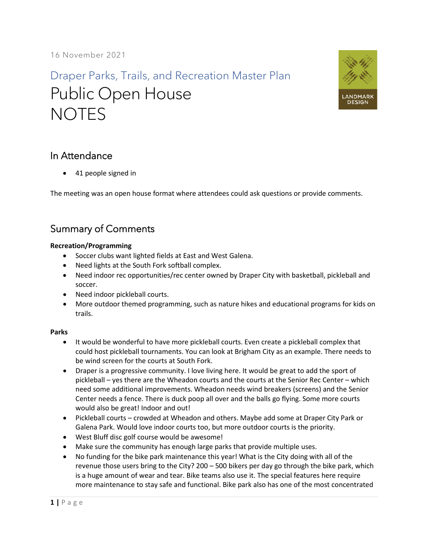Draper Parks, Trails, and Recreation Master Plan Public Open House **NOTES** 



## In Attendance

• 41 people signed in

The meeting was an open house format where attendees could ask questions or provide comments.

# Summary of Comments

#### **Recreation/Programming**

- Soccer clubs want lighted fields at East and West Galena.
- Need lights at the South Fork softball complex.
- Need indoor rec opportunities/rec center owned by Draper City with basketball, pickleball and soccer.
- Need indoor pickleball courts.
- More outdoor themed programming, such as nature hikes and educational programs for kids on trails.

### **Parks**

- It would be wonderful to have more pickleball courts. Even create a pickleball complex that could host pickleball tournaments. You can look at Brigham City as an example. There needs to be wind screen for the courts at South Fork.
- Draper is a progressive community. I love living here. It would be great to add the sport of pickleball – yes there are the Wheadon courts and the courts at the Senior Rec Center – which need some additional improvements. Wheadon needs wind breakers (screens) and the Senior Center needs a fence. There is duck poop all over and the balls go flying. Some more courts would also be great! Indoor and out!
- Pickleball courts crowded at Wheadon and others. Maybe add some at Draper City Park or Galena Park. Would love indoor courts too, but more outdoor courts is the priority.
- West Bluff disc golf course would be awesome!
- Make sure the community has enough large parks that provide multiple uses.
- No funding for the bike park maintenance this year! What is the City doing with all of the revenue those users bring to the City? 200 – 500 bikers per day go through the bike park, which is a huge amount of wear and tear. Bike teams also use it. The special features here require more maintenance to stay safe and functional. Bike park also has one of the most concentrated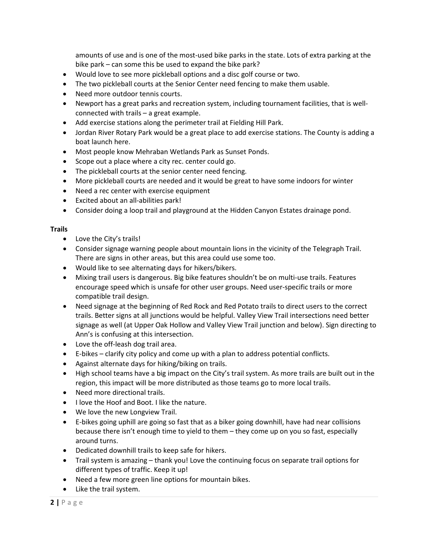amounts of use and is one of the most-used bike parks in the state. Lots of extra parking at the bike park – can some this be used to expand the bike park?

- Would love to see more pickleball options and a disc golf course or two.
- The two pickleball courts at the Senior Center need fencing to make them usable.
- Need more outdoor tennis courts.
- Newport has a great parks and recreation system, including tournament facilities, that is wellconnected with trails – a great example.
- Add exercise stations along the perimeter trail at Fielding Hill Park.
- Jordan River Rotary Park would be a great place to add exercise stations. The County is adding a boat launch here.
- Most people know Mehraban Wetlands Park as Sunset Ponds.
- Scope out a place where a city rec. center could go.
- The pickleball courts at the senior center need fencing.
- More pickleball courts are needed and it would be great to have some indoors for winter
- Need a rec center with exercise equipment
- Excited about an all-abilities park!
- Consider doing a loop trail and playground at the Hidden Canyon Estates drainage pond.

#### **Trails**

- Love the City's trails!
- Consider signage warning people about mountain lions in the vicinity of the Telegraph Trail. There are signs in other areas, but this area could use some too.
- Would like to see alternating days for hikers/bikers.
- Mixing trail users is dangerous. Big bike features shouldn't be on multi-use trails. Features encourage speed which is unsafe for other user groups. Need user-specific trails or more compatible trail design.
- Need signage at the beginning of Red Rock and Red Potato trails to direct users to the correct trails. Better signs at all junctions would be helpful. Valley View Trail intersections need better signage as well (at Upper Oak Hollow and Valley View Trail junction and below). Sign directing to Ann's is confusing at this intersection.
- Love the off-leash dog trail area.
- E-bikes clarify city policy and come up with a plan to address potential conflicts.
- Against alternate days for hiking/biking on trails.
- High school teams have a big impact on the City's trail system. As more trails are built out in the region, this impact will be more distributed as those teams go to more local trails.
- Need more directional trails.
- I love the Hoof and Boot. I like the nature.
- We love the new Longview Trail.
- E-bikes going uphill are going so fast that as a biker going downhill, have had near collisions because there isn't enough time to yield to them – they come up on you so fast, especially around turns.
- Dedicated downhill trails to keep safe for hikers.
- Trail system is amazing thank you! Love the continuing focus on separate trail options for different types of traffic. Keep it up!
- Need a few more green line options for mountain bikes.
- Like the trail system.